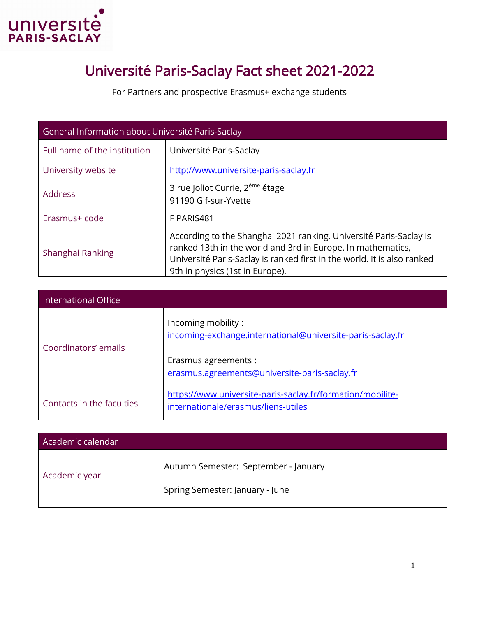

## Université Paris-Saclay Fact sheet 2021-2022

For Partners and prospective Erasmus+ exchange students

| General Information about Université Paris-Saclay |                                                                                                                                                                                                                                                 |
|---------------------------------------------------|-------------------------------------------------------------------------------------------------------------------------------------------------------------------------------------------------------------------------------------------------|
| Full name of the institution                      | Université Paris-Saclay                                                                                                                                                                                                                         |
| University website                                | http://www.universite-paris-saclay.fr                                                                                                                                                                                                           |
| <b>Address</b>                                    | 3 rue Joliot Currie, 2 <sup>ème</sup> étage<br>91190 Gif-sur-Yvette                                                                                                                                                                             |
| Erasmus+ code                                     | F PARIS481                                                                                                                                                                                                                                      |
| Shanghai Ranking                                  | According to the Shanghai 2021 ranking, Université Paris-Saclay is<br>ranked 13th in the world and 3rd in Europe. In mathematics,<br>Université Paris-Saclay is ranked first in the world. It is also ranked<br>9th in physics (1st in Europe). |

| International Office      |                                                                                                   |
|---------------------------|---------------------------------------------------------------------------------------------------|
| Coordinators' emails      | Incoming mobility:<br>incoming-exchange.international@universite-paris-saclay.fr                  |
|                           | Erasmus agreements :<br>erasmus.agreements@universite-paris-saclay.fr                             |
| Contacts in the faculties | https://www.universite-paris-saclay.fr/formation/mobilite-<br>internationale/erasmus/liens-utiles |

| Academic calendar |                                                                         |
|-------------------|-------------------------------------------------------------------------|
| Academic year     | Autumn Semester: September - January<br>Spring Semester: January - June |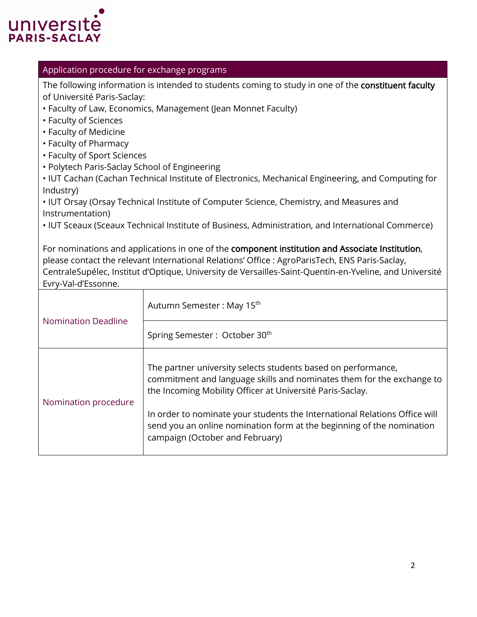

## Application procedure for exchange programs

The following information is intended to students coming to study in one of the constituent faculty of Université Paris-Saclay:

- Faculty of Law, Economics, Management (Jean Monnet Faculty)
- Faculty of Sciences
- Faculty of Medicine
- Faculty of Pharmacy
- Faculty of Sport Sciences
- Polytech Paris-Saclay School of Engineering

• IUT Cachan (Cachan Technical Institute of Electronics, Mechanical Engineering, and Computing for Industry)

• IUT Orsay (Orsay Technical Institute of Computer Science, Chemistry, and Measures and Instrumentation)

• IUT Sceaux (Sceaux Technical Institute of Business, Administration, and International Commerce)

For nominations and applications in one of the component institution and Associate Institution, please contact the relevant International Relations' Office : AgroParisTech, ENS Paris-Saclay, CentraleSupélec, Institut d'Optique, University de Versailles-Saint-Quentin-en-Yveline, and Université Evry-Val-d'Essonne.

| <b>Nomination Deadline</b> | Autumn Semester: May 15 <sup>th</sup>                                                                                                                                                                                                                                                                                                                                                         |
|----------------------------|-----------------------------------------------------------------------------------------------------------------------------------------------------------------------------------------------------------------------------------------------------------------------------------------------------------------------------------------------------------------------------------------------|
|                            | Spring Semester: October 30 <sup>th</sup>                                                                                                                                                                                                                                                                                                                                                     |
| Nomination procedure       | The partner university selects students based on performance,<br>commitment and language skills and nominates them for the exchange to<br>the Incoming Mobility Officer at Université Paris-Saclay.<br>In order to nominate your students the International Relations Office will<br>send you an online nomination form at the beginning of the nomination<br>campaign (October and February) |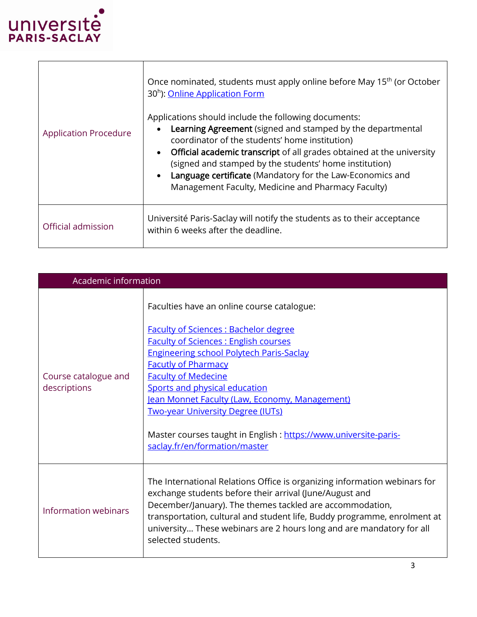

T

 $\overline{\Gamma}$ 

| <b>Application Procedure</b> | Once nominated, students must apply online before May 15 <sup>th</sup> (or October<br>30 <sup>h</sup> ): Online Application Form<br>Applications should include the following documents:<br>Learning Agreement (signed and stamped by the departmental<br>coordinator of the students' home institution)<br><b>Official academic transcript</b> of all grades obtained at the university<br>(signed and stamped by the students' home institution)<br>Language certificate (Mandatory for the Law-Economics and<br>Management Faculty, Medicine and Pharmacy Faculty) |
|------------------------------|-----------------------------------------------------------------------------------------------------------------------------------------------------------------------------------------------------------------------------------------------------------------------------------------------------------------------------------------------------------------------------------------------------------------------------------------------------------------------------------------------------------------------------------------------------------------------|
| Official admission           | Université Paris-Saclay will notify the students as to their acceptance<br>within 6 weeks after the deadline.                                                                                                                                                                                                                                                                                                                                                                                                                                                         |

| Academic information                 |                                                                                                                                                                                                                                                                                                                                                                                                                                                            |
|--------------------------------------|------------------------------------------------------------------------------------------------------------------------------------------------------------------------------------------------------------------------------------------------------------------------------------------------------------------------------------------------------------------------------------------------------------------------------------------------------------|
| Course catalogue and<br>descriptions | Faculties have an online course catalogue:<br><b>Faculty of Sciences: Bachelor degree</b><br><b>Faculty of Sciences: English courses</b><br><b>Engineering school Polytech Paris-Saclay</b><br><b>Facutly of Pharmacy</b><br><b>Faculty of Medecine</b><br>Sports and physical education<br>Jean Monnet Faculty (Law, Economy, Management)<br><b>Two-year University Degree (IUTs)</b><br>Master courses taught in English : https://www.universite-paris- |
| Information webinars                 | saclay.fr/en/formation/master<br>The International Relations Office is organizing information webinars for<br>exchange students before their arrival (June/August and<br>December/January). The themes tackled are accommodation,<br>transportation, cultural and student life, Buddy programme, enrolment at<br>university These webinars are 2 hours long and are mandatory for all<br>selected students.                                                |

٦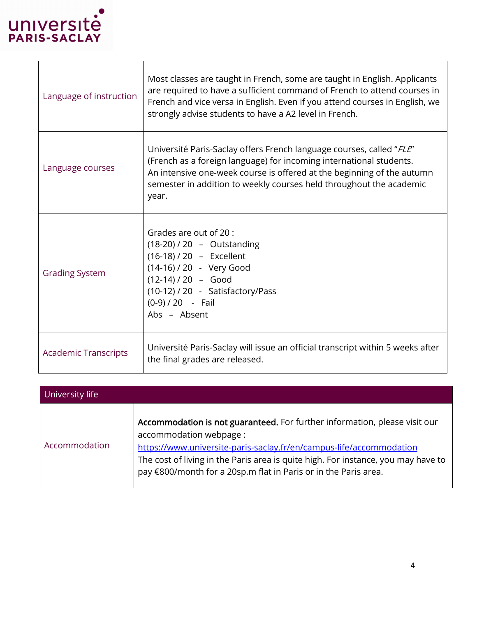

| Language of instruction     | Most classes are taught in French, some are taught in English. Applicants<br>are required to have a sufficient command of French to attend courses in<br>French and vice versa in English. Even if you attend courses in English, we<br>strongly advise students to have a A2 level in French.        |
|-----------------------------|-------------------------------------------------------------------------------------------------------------------------------------------------------------------------------------------------------------------------------------------------------------------------------------------------------|
| Language courses            | Université Paris-Saclay offers French language courses, called "FLE"<br>(French as a foreign language) for incoming international students.<br>An intensive one-week course is offered at the beginning of the autumn<br>semester in addition to weekly courses held throughout the academic<br>year. |
| <b>Grading System</b>       | Grades are out of 20 :<br>(18-20) / 20 - Outstanding<br>(16-18) / 20 - Excellent<br>(14-16) / 20 - Very Good<br>$(12-14)/20 - Good$<br>(10-12) / 20 - Satisfactory/Pass<br>$(0-9)/20$ - Fail<br>Abs - Absent                                                                                          |
| <b>Academic Transcripts</b> | Université Paris-Saclay will issue an official transcript within 5 weeks after<br>the final grades are released.                                                                                                                                                                                      |

| University life |                                                                                                                                                                                                                                                                                                                                      |
|-----------------|--------------------------------------------------------------------------------------------------------------------------------------------------------------------------------------------------------------------------------------------------------------------------------------------------------------------------------------|
| Accommodation   | Accommodation is not guaranteed. For further information, please visit our<br>accommodation webpage :<br>https://www.universite-paris-saclay.fr/en/campus-life/accommodation<br>The cost of living in the Paris area is quite high. For instance, you may have to<br>pay €800/month for a 20sp.m flat in Paris or in the Paris area. |